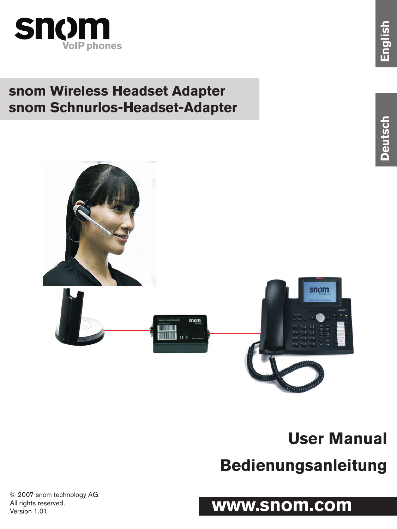

## **snom Wireless Headset Adapter snom Schnurlos-Headset-Adapter**



# **User Manual**

# **Bedienungsanleitung**

# **www.snom.com**

© 2007 snom technology AG All rights reserved. Version 1.01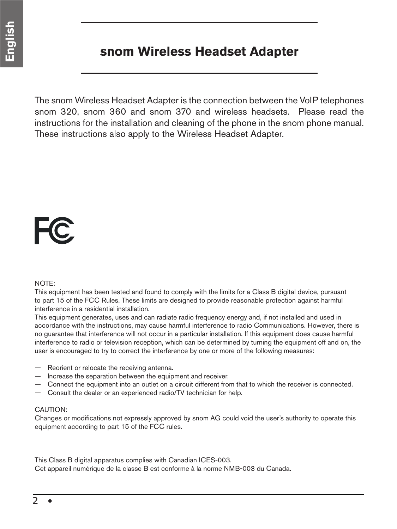#### **snom Wireless Headset Adapter**

The snom Wireless Headset Adapter is the connection between the VoIP telephones snom 320, snom 360 and snom 370 and wireless headsets. Please read the instructions for the installation and cleaning of the phone in the snom phone manual. These instructions also apply to the Wireless Headset Adapter.

# FC

#### NOTE:

This equipment has been tested and found to comply with the limits for a Class B digital device, pursuant to part 15 of the FCC Rules. These limits are designed to provide reasonable protection against harmful interference in a residential installation.

This equipment generates, uses and can radiate radio frequency energy and, if not installed and used in accordance with the instructions, may cause harmful interference to radio Communications. However, there is no guarantee that interference will not occur in a particular installation. If this equipment does cause harmful interference to radio or television reception, which can be determined by turning the equipment off and on, the user is encouraged to try to correct the interference by one or more of the following measures:

- Reorient or relocate the receiving antenna.
- Increase the separation between the equipment and receiver.
- Connect the equipment into an outlet on a circuit different from that to which the receiver is connected.
- Consult the dealer or an experienced radio/TV technician for help.

#### CAUTION:

Changes or modifications not expressly approved by snom AG could void the user's authority to operate this equipment according to part 15 of the FCC rules.

This Class B digital apparatus complies with Canadian ICES-003. Cet appareil numérique de la classe B est conforme à la norme NMB-003 du Canada.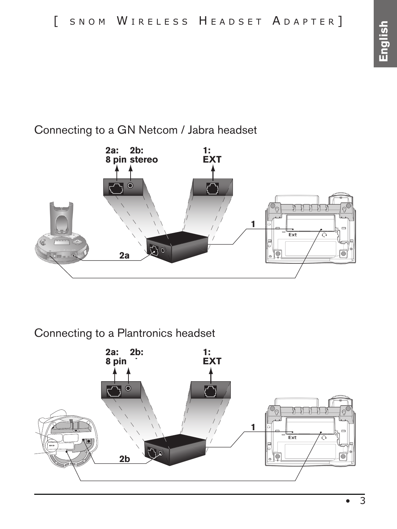### Connecting to a GN Netcom / Jabra headset



#### Connecting to a Plantronics headset

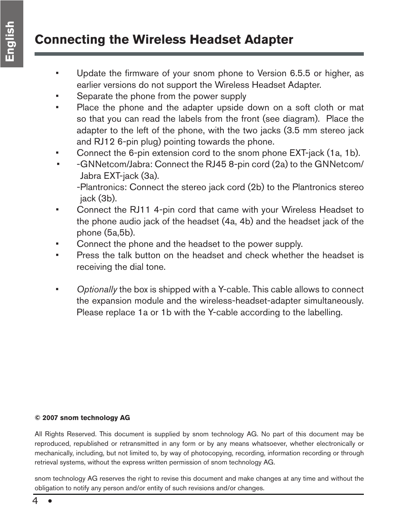## **Connecting the Wireless Headset Adapter**

- Update the firmware of your snom phone to Version 6.5.5 or higher, as earlier versions do not support the Wireless Headset Adapter.
- Separate the phone from the power supply
- Place the phone and the adapter upside down on a soft cloth or mat so that you can read the labels from the front (see diagram). Place the adapter to the left of the phone, with the two jacks (3.5 mm stereo jack and RJ12 6-pin plug) pointing towards the phone.
- Connect the 6-pin extension cord to the snom phone EXT-jack (1a, 1b).
- -GNNetcom/Jabra: Connect the RJ45 8-pin cord (2a) to the GNNetcom/ Jabra EXT-jack (3a).

-Plantronics: Connect the stereo jack cord (2b) to the Plantronics stereo jack (3b).

- Connect the RJ11 4-pin cord that came with your Wireless Headset to the phone audio jack of the headset (4a, 4b) and the headset jack of the phone (5a,5b).
- Connect the phone and the headset to the power supply.
- Press the talk button on the headset and check whether the headset is receiving the dial tone.
- *Optionally* the box is shipped with a Y-cable. This cable allows to connect the expansion module and the wireless-headset-adapter simultaneously. Please replace 1a or 1b with the Y-cable according to the labelling.

#### **© 2007 snom technology AG**

All Rights Reserved. This document is supplied by snom technology AG. No part of this document may be reproduced, republished or retransmitted in any form or by any means whatsoever, whether electronically or mechanically, including, but not limited to, by way of photocopying, recording, information recording or through retrieval systems, without the express written permission of snom technology AG.

snom technology AG reserves the right to revise this document and make changes at any time and without the obligation to notify any person and/or entity of such revisions and/or changes.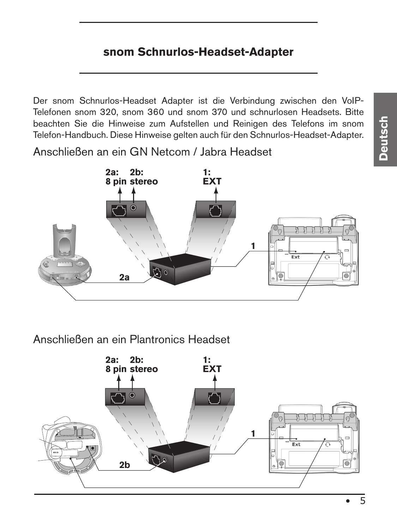#### **snom Schnurlos-Headset-Adapter**

Der snom Schnurlos-Headset Adapter ist die Verbindung zwischen den VoIP-Telefonen snom 320, snom 360 und snom 370 und schnurlosen Headsets. Bitte beachten Sie die Hinweise zum Aufstellen und Reinigen des Telefons im snom Telefon-Handbuch. Diese Hinweise gelten auch für den Schnurlos-Headset-Adapter.

Anschließen an ein GN Netcom / Jabra Headset



Anschließen an ein Plantronics Headset



• 5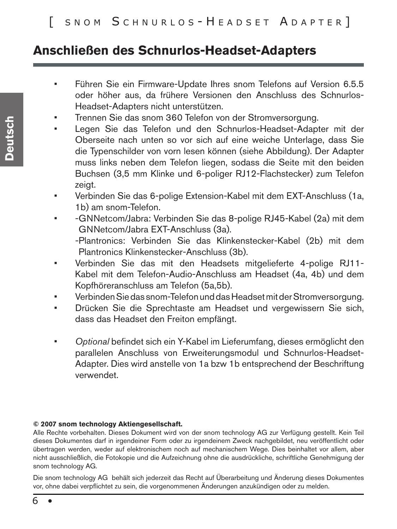#### **Anschließen des Schnurlos-Headset-Adapters**

- Führen Sie ein Firmware-Update Ihres snom Telefons auf Version 6.5.5 oder höher aus, da frühere Versionen den Anschluss des Schnurlos-Headset-Adapters nicht unterstützen.
- Trennen Sie das snom 360 Telefon von der Stromversorgung.
- Legen Sie das Telefon und den Schnurlos-Headset-Adapter mit der Oberseite nach unten so vor sich auf eine weiche Unterlage, dass Sie die Typenschilder von vorn lesen können (siehe Abbildung). Der Adapter muss links neben dem Telefon liegen, sodass die Seite mit den beiden Buchsen (3,5 mm Klinke und 6-poliger RJ12-Flachstecker) zum Telefon zeigt.
- Verbinden Sie das 6-polige Extension-Kabel mit dem EXT-Anschluss (1a, 1b) am snom-Telefon.
- • -GNNetcom/Jabra: Verbinden Sie das 8-polige RJ45-Kabel (2a) mit dem GNNetcom/Jabra EXT-Anschluss (3a).

-Plantronics: Verbinden Sie das Klinkenstecker-Kabel (2b) mit dem Plantronics Klinkenstecker-Anschluss (3b).

- Verbinden Sie das mit den Headsets mitgelieferte 4-polige RJ11-Kabel mit dem Telefon-Audio-Anschluss am Headset (4a, 4b) und dem Kopfhöreranschluss am Telefon (5a,5b).
- Verbinden Sie das snom-Telefon und das Headset mit der Stromversorgung.
- Drücken Sie die Sprechtaste am Headset und vergewissern Sie sich, dass das Headset den Freiton empfängt.
- Optional befindet sich ein Y-Kabel im Lieferumfang, dieses ermöglicht den parallelen Anschluss von Erweiterungsmodul und Schnurlos-Headset-Adapter. Dies wird anstelle von 1a bzw 1b entsprechend der Beschriftung verwendet.

#### **© 2007 snom technology Aktiengesellschaft.**

Alle Rechte vorbehalten. Dieses Dokument wird von der snom technology AG zur Verfügung gestellt. Kein Teil dieses Dokumentes darf in irgendeiner Form oder zu irgendeinem Zweck nachgebildet, neu veröffentlicht oder übertragen werden, weder auf elektronischem noch auf mechanischem Wege. Dies beinhaltet vor allem, aber nicht ausschließlich, die Fotokopie und die Aufzeichnung ohne die ausdrückliche, schriftliche Genehmigung der snom technology AG.

Die snom technology AG behält sich jederzeit das Recht auf Überarbeitung und Änderung dieses Dokumentes vor, ohne dabei verpflichtet zu sein, die vorgenommenen Änderungen anzukündigen oder zu melden.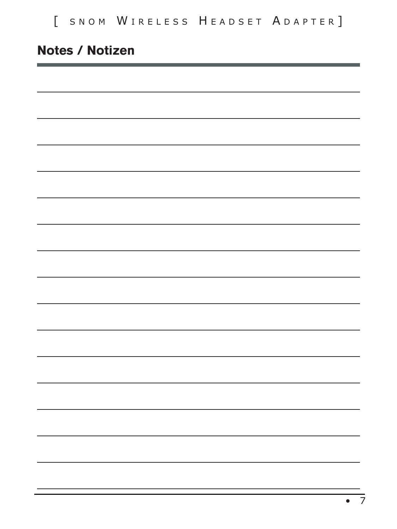## **Notes / Notizen**